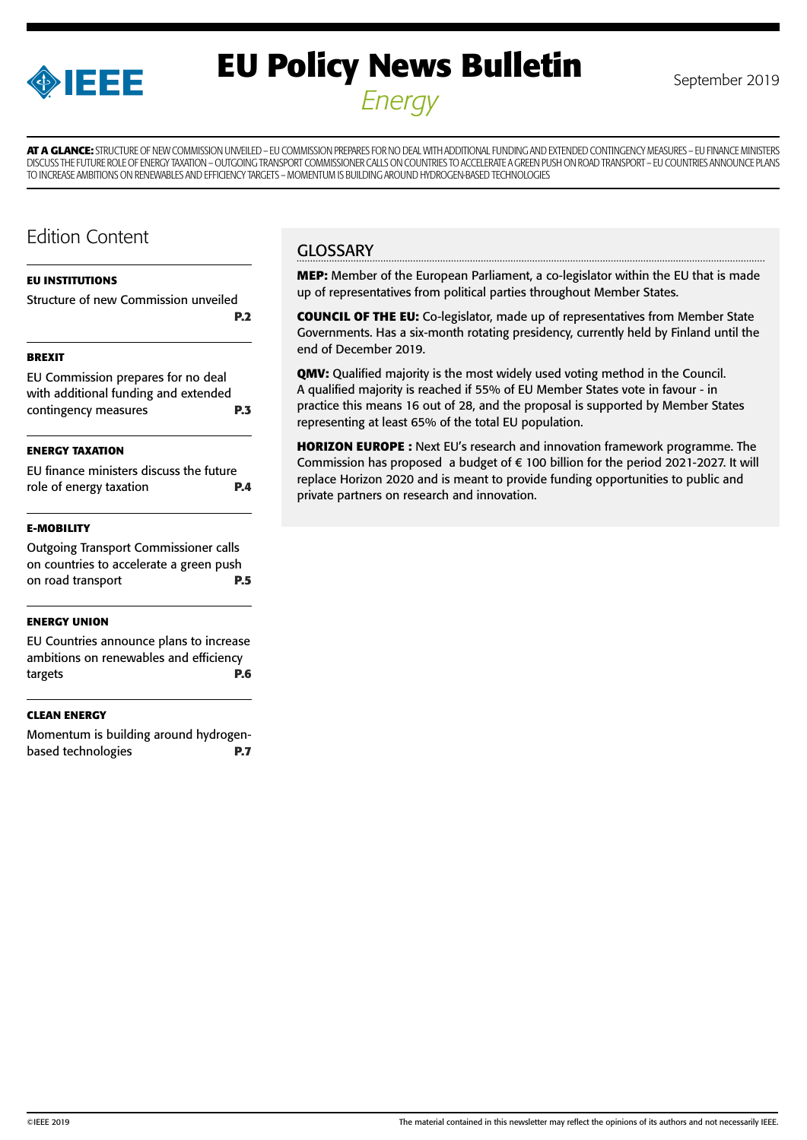

# **EU Policy News Bulletin** September 2019 *Energy*

**AT A GLANCE:** STRUCTURE OF NEW COMMISSION UNVEILED – EU COMMISSION PREPARES FOR NO DEAL WITH ADDITIONAL FUNDING AND EXTENDED CONTINGENCY MEASURES – EU FINANCE MINISTERS DISCUSS THE FUTURE ROLE OF ENERGY TAXATION – OUTGOING TRANSPORT COMMISSIONER CALLS ON COUNTRIES TO ACCELERATE A GREEN PUSH ON ROAD TRANSPORT – EU COUNTRIES ANNOUNCE PLANS TO INCREASE AMBITIONS ON RENEWABLES AND EFFICIENCY TARGETS – MOMENTUM IS BUILDING AROUND HYDROGEN-BASED TECHNOLOGIES

### Edition Content

### **[EU INSTITUTIONS](#page-1-0)**

### [Structure of new Commission unveiled](#page-1-0)  **[P.2](#page-1-0)**

### **[BREXIT](#page-2-0)**

| EU Commission prepares for no deal<br>with additional funding and extended |            |
|----------------------------------------------------------------------------|------------|
| contingency measures                                                       | <b>P.3</b> |

### **[ENERGY TAXATION](#page-3-0)**

| EU finance ministers discuss the future |            |
|-----------------------------------------|------------|
| role of energy taxation                 | <b>P.4</b> |

### **[E-MOBILITY](#page-4-0)**

| <b>Outgoing Transport Commissioner calls</b> |            |
|----------------------------------------------|------------|
| on countries to accelerate a green push      |            |
| on road transport                            | <b>P.5</b> |

### **[ENERGY UNION](#page-5-0)**

[EU Countries announce plans to increase](#page-5-0)  [ambitions on renewables and efficiency](#page-5-0)  [targets](#page-5-0) **P.6**

### **[CLEAN ENERGY](#page-6-0)**

[Momentum is building around hydrogen](#page-6-0)[based technologies](#page-6-0) **P.7**

### **GLOSSARY**

**MEP:** Member of the European Parliament, a co-legislator within the EU that is made up of representatives from political parties throughout Member States.

**COUNCIL OF THE EU:** Co-legislator, made up of representatives from Member State Governments. Has a six-month rotating presidency, currently held by Finland until the end of December 2019.

**QMV:** Qualified majority is the most widely used voting method in the Council. A qualified majority is reached if 55% of EU Member States vote in favour - in practice this means 16 out of 28, and the proposal is supported by Member States representing at least 65% of the total EU population.

**HORIZON EUROPE :** Next EU's research and innovation framework programme. The Commission has proposed a budget of € 100 billion for the period 2021-2027. It will replace Horizon 2020 and is meant to provide funding opportunities to public and private partners on research and innovation.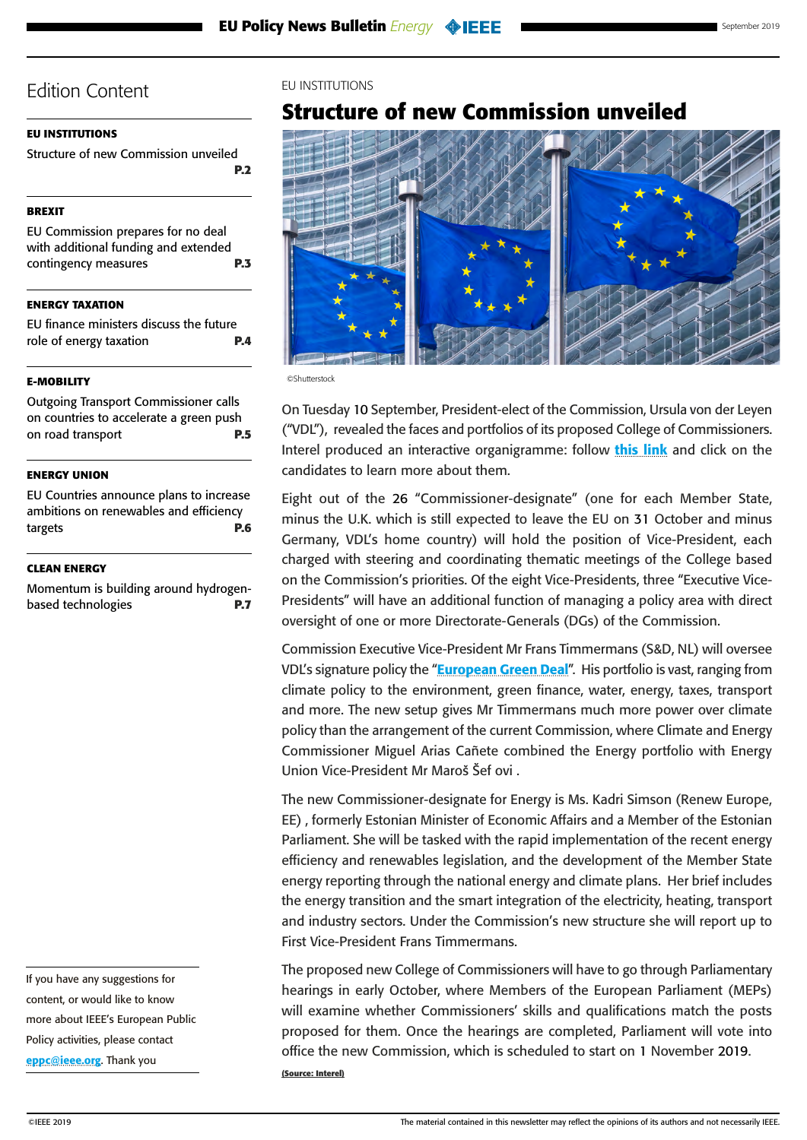### <span id="page-1-0"></span>**EU INSTITUTIONS**

Structure of new Commission unveiled **P.2**

### **[BREXIT](#page-2-0)**

[EU Commission prepares for no deal](#page-2-0)  [with additional funding and extended](#page-2-0)  [contingency measures](#page-2-0) **P.3**

**[ENERGY TAXATION](#page-3-0)**

[EU finance ministers discuss the future](#page-3-0)  [role of energy taxation](#page-3-0) **P.4**

### **[E-MOBILITY](#page-4-0)**

[Outgoing Transport Commissioner calls](#page-4-0)  [on countries to accelerate a green push](#page-4-0)  [on road transport](#page-4-0) **P.5**

### **[ENERGY UNION](#page-5-0)**

[EU Countries announce plans to increase](#page-5-0)  [ambitions on renewables and efficiency](#page-5-0)  [targets](#page-5-0) **P.6**

#### **[CLEAN ENERGY](#page-6-0)**

[Momentum is building around hydrogen](#page-6-0)[based technologies](#page-6-0) **P.7**

If you have any suggestions for content, or would like to know more about IEEE's European Public Policy activities, please contact [eppc@ieee.org](mailto:eppc%40ieee.org?subject=). Thank you

### EU INSTITUTIONS

### **Structure of new Commission unveiled**



©Shutterstock

On Tuesday 10 September, President-elect of the Commission, Ursula von der Leyen ("VDL"), revealed the faces and portfolios of its proposed College of Commissioners. Interel produced an interactive organigramme: follow [this link](https://gallery.mailchimp.com/8b4e8654b44e2b6350f8f5a66/files/f882ddbe-f355-47b8-82eb-515821fe7d84/Commissioners_list_2019_activeLinks2.1.pdf) and click on the candidates to learn more about them.

Eight out of the 26 "Commissioner-designate" (one for each Member State, minus the U.K. which is still expected to leave the EU on 31 October and minus Germany, VDL's home country) will hold the position of Vice-President, each charged with steering and coordinating thematic meetings of the College based on the Commission's priorities. Of the eight Vice-Presidents, three "Executive Vice-Presidents" will have an additional function of managing a policy area with direct oversight of one or more Directorate-Generals (DGs) of the Commission.

Commission Executive Vice-President Mr Frans Timmermans (S&D, NL) will oversee VDL's signature policy the "**[European Green Deal](https://ec.europa.eu/commission/sites/beta-political/files/political-guidelines-next-commission_en.pdf)**". His portfolio is vast, ranging from climate policy to the environment, green finance, water, energy, taxes, transport and more. The new setup gives Mr Timmermans much more power over climate policy than the arrangement of the current Commission, where Climate and Energy Commissioner Miguel Arias Cañete combined the Energy portfolio with Energy Union Vice-President Mr Maroš Šef ovi.

The new Commissioner-designate for Energy is Ms. Kadri Simson (Renew Europe, EE) , formerly Estonian Minister of Economic Affairs and a Member of the Estonian Parliament. She will be tasked with the rapid implementation of the recent energy efficiency and renewables legislation, and the development of the Member State energy reporting through the national energy and climate plans. Her brief includes the energy transition and the smart integration of the electricity, heating, transport and industry sectors. Under the Commission's new structure she will report up to First Vice-President Frans Timmermans.

The proposed new College of Commissioners will have to go through Parliamentary hearings in early October, where Members of the European Parliament (MEPs) will examine whether Commissioners' skills and qualifications match the posts proposed for them. Once the hearings are completed, Parliament will vote into office the new Commission, which is scheduled to start on 1 November 2019. **(Source: Interel)**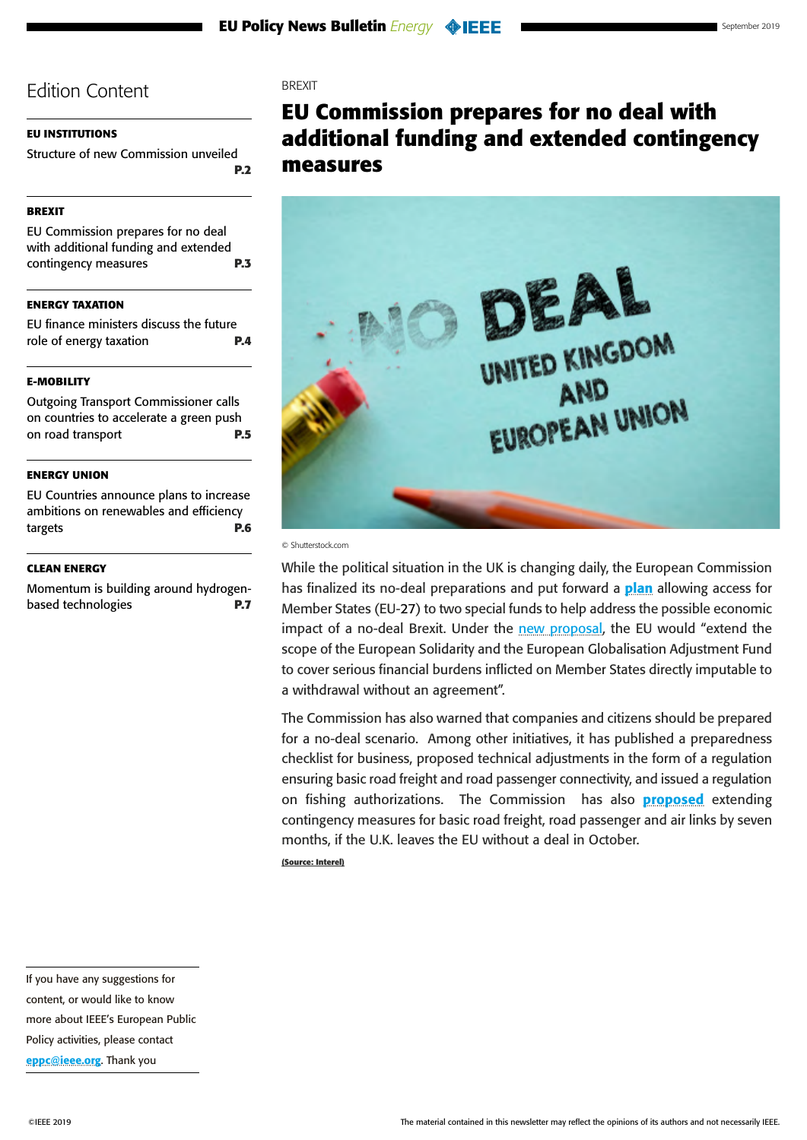### <span id="page-2-0"></span>**[EU INSTITUTIONS](#page-1-0)**

[Structure of new Commission unveiled](#page-1-0)  **[P.2](#page-1-0)**

### **BREXIT**

EU Commission prepares for no deal with additional funding and extended contingency measures **P.3**

**[ENERGY TAXATION](#page-3-0)**

[EU finance ministers discuss the future](#page-3-0)  [role of energy taxation](#page-3-0) **P.4**

### **[E-MOBILITY](#page-4-0)**

[Outgoing Transport Commissioner calls](#page-4-0)  [on countries to accelerate a green push](#page-4-0)  [on road transport](#page-4-0) **P.5**

### **[ENERGY UNION](#page-5-0)**

[EU Countries announce plans to increase](#page-5-0)  [ambitions on renewables and efficiency](#page-5-0)  [targets](#page-5-0) **P.6**

#### **[CLEAN ENERGY](#page-6-0)**

[Momentum is building around hydrogen](#page-6-0)[based technologies](#page-6-0) **P.7** **BREXIT** 

# **EU Commission prepares for no deal with additional funding and extended contingency measures**



#### © Shutterstock.com

While the political situation in the UK is changing daily, the European Commission has finalized its no-deal preparations and put forward a **[plan](https://ec.europa.eu/info/publications/communication-4-september-2019-finalising-preparations-withdrawal-united-kingdom-european-union-1-november-2019_en?utm_source=POLITICO.EU&utm_campaign=31f410ab78-EMAIL_CAMPAIGN_2019_09_04_11_09&utm_medium=email&utm_term=0_10959edeb5-31f410ab78-189944749)** allowing access for Member States (EU-27) to two special funds to help address the possible economic impact of a no-deal Brexit. Under the [new proposal,](https://ec.europa.eu/info/publications/communication-4-september-2019-finalising-preparations-withdrawal-united-kingdom-european-union-1-november-2019_en?utm_source=POLITICO.EU&utm_campaign=31f410ab78-EMAIL_CAMPAIGN_2019_09_04_11_09&utm_medium=email&utm_term=0_10959edeb5-31f410ab78-189944749) the EU would "extend the scope of the European Solidarity and the European Globalisation Adjustment Fund to cover serious financial burdens inflicted on Member States directly imputable to a withdrawal without an agreement".

The Commission has also warned that companies and citizens should be prepared for a no-deal scenario. Among other initiatives, it has published a preparedness [checklist](https://ec.europa.eu/info/sites/info/files/brexit_preparedness_checklist_en.pdf?utm_source=POLITICO.EU&utm_campaign=31f410ab78-EMAIL_CAMPAIGN_2019_09_04_11_09&utm_medium=email&utm_term=0_10959edeb5-31f410ab78-189944749) for business, proposed technical adjustments in the form of a regulation ensuring basic road freight and road passenger connectivity, and issued a regulation on fishing authorizations. The Commission has also **[proposed](https://europa.eu/rapid/press-release_IP-19-5509_en.htm?utm_source=POLITICO.EU&utm_campaign=03d516a2b9-EMAIL_CAMPAIGN_2019_09_04_12_13&utm_medium=email&utm_term=0_10959edeb5-03d516a2b9-189944749)** extending contingency measures for basic road freight, road passenger and air links by seven months, if the U.K. leaves the EU without a deal in October. **(Source: Interel)**

If you have any suggestions for content, or would like to know more about IEEE's European Public Policy activities, please contact [eppc@ieee.org](mailto:eppc%40ieee.org?subject=). Thank you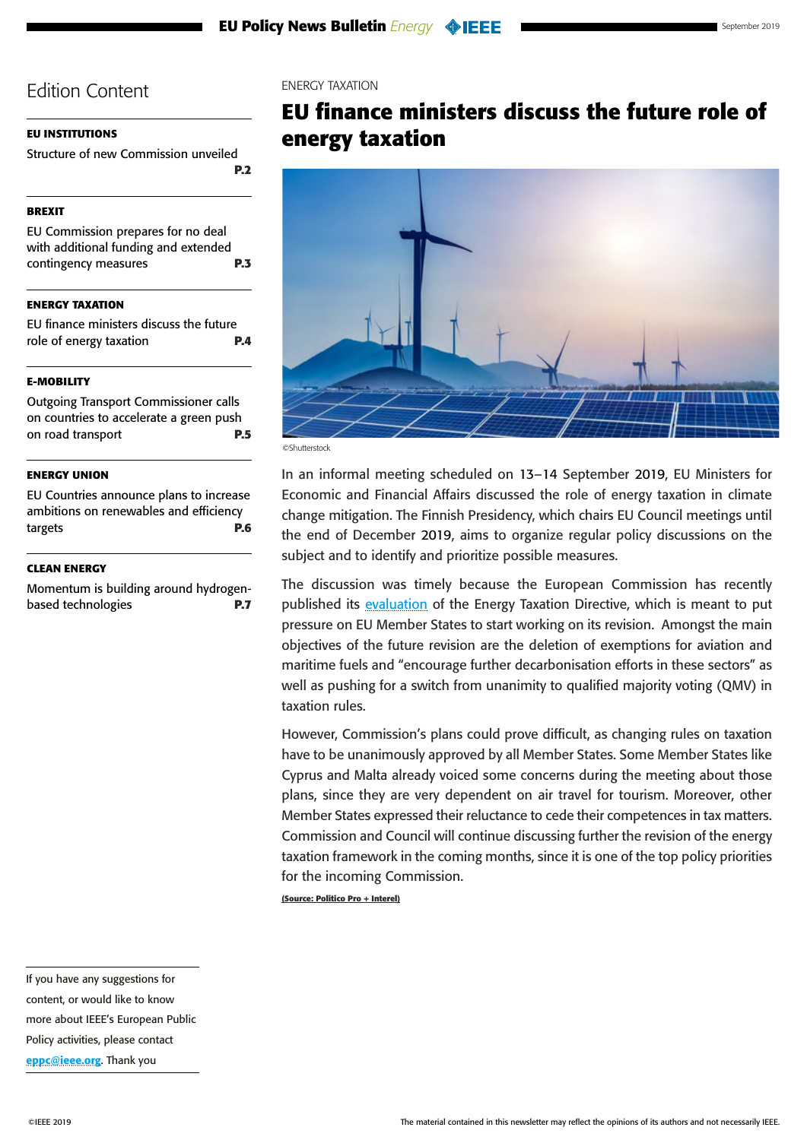### <span id="page-3-0"></span>**[EU INSTITUTIONS](#page-1-0)**

[Structure of new Commission unveiled](#page-1-0)  **[P.2](#page-1-0)**

### **[BREXIT](#page-2-0)**

[EU Commission prepares for no deal](#page-2-0)  [with additional funding and extended](#page-2-0)  [contingency measures](#page-2-0) **P.3**

### **ENERGY TAXATION**

EU finance ministers discuss the future role of energy taxation **P.4**

### **[E-MOBILITY](#page-4-0)**

[Outgoing Transport Commissioner calls](#page-4-0)  [on countries to accelerate a green push](#page-4-0)  [on road transport](#page-4-0) **P.5**

### **[ENERGY UNION](#page-5-0)**

[EU Countries announce plans to increase](#page-5-0)  [ambitions on renewables and efficiency](#page-5-0)  [targets](#page-5-0) **P.6**

#### **[CLEAN ENERGY](#page-6-0)**

[Momentum is building around hydrogen](#page-6-0)[based technologies](#page-6-0) **P.7** ENERGY TAXATION

### **EU finance ministers discuss the future role of energy taxation**



In an informal meeting scheduled on 13–14 September 2019, EU Ministers for Economic and Financial Affairs discussed the role of energy taxation in climate change mitigation. The Finnish Presidency, which chairs EU Council meetings until the end of December 2019, aims to organize regular policy discussions on the subject and to identify and prioritize possible measures.

The discussion was timely because the European Commission has recently published its [evaluation](https://ec.europa.eu/taxation_customs/sites/taxation/files/energy-tax-report-2019.pdf) of the Energy Taxation Directive, which is meant to put pressure on EU Member States to start working on its revision. Amongst the main objectives of the future revision are the deletion of exemptions for aviation and maritime fuels and "encourage further decarbonisation efforts in these sectors" as well as pushing for a switch from unanimity to qualified majority voting (QMV) in taxation rules.

However, Commission's plans could prove difficult, as changing rules on taxation have to be unanimously approved by all Member States. Some Member States like Cyprus and Malta already voiced some concerns during the meeting about those plans, since they are very dependent on air travel for tourism. Moreover, other Member States expressed their reluctance to cede their competences in tax matters. Commission and Council will continue discussing further the revision of the energy taxation framework in the coming months, since it is one of the top policy priorities for the incoming Commission.

**(Source: Politico Pro + Interel)**

If you have any suggestions for content, or would like to know more about IEEE's European Public Policy activities, please contact [eppc@ieee.org](mailto:eppc%40ieee.org?subject=). Thank you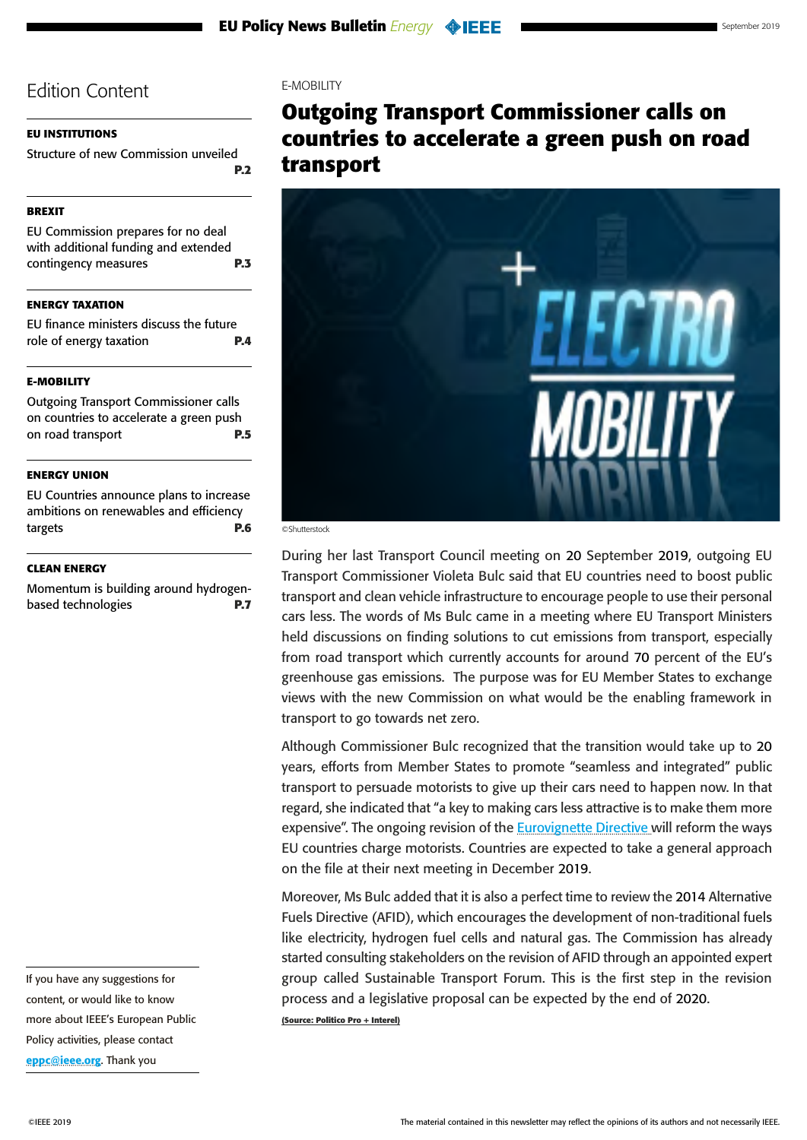### <span id="page-4-0"></span>**[EU INSTITUTIONS](#page-1-0)**

[Structure of new Commission unveiled](#page-1-0)  **[P.2](#page-1-0)**

### **[BREXIT](#page-2-0)**

[EU Commission prepares for no deal](#page-2-0)  [with additional funding and extended](#page-2-0)  [contingency measures](#page-2-0) **P.3**

### **[ENERGY TAXATION](#page-3-0)**

[EU finance ministers discuss the future](#page-3-0)  [role of energy taxation](#page-3-0) **P.4**

### **E-MOBILITY**

Outgoing Transport Commissioner calls on countries to accelerate a green push on road transport **P.5**

### **[ENERGY UNION](#page-5-0)**

[EU Countries announce plans to increase](#page-5-0)  [ambitions on renewables and efficiency](#page-5-0)  [targets](#page-5-0) **P.6**

### **[CLEAN ENERGY](#page-6-0)**

[Momentum is building around hydrogen](#page-6-0)[based technologies](#page-6-0) **P.7**

If you have any suggestions for content, or would like to know more about IEEE's European Public Policy activities, please contact [eppc@ieee.org](mailto:eppc%40ieee.org?subject=). Thank you

### E-MOBILITY

# **Outgoing Transport Commissioner calls on countries to accelerate a green push on road transport**



©Shutterstock

During her last Transport Council meeting on 20 September 2019, outgoing EU Transport Commissioner Violeta Bulc said that EU countries need to boost public transport and clean vehicle infrastructure to encourage people to use their personal cars less. The words of Ms Bulc came in a meeting where EU Transport Ministers held discussions on finding solutions to cut emissions from transport, especially from road transport which currently accounts for around 70 percent of the EU's greenhouse gas emissions. The purpose was for EU Member States to exchange views with the new Commission on what would be the enabling framework in transport to go towards net zero.

Although Commissioner Bulc recognized that the transition would take up to 20 years, efforts from Member States to promote "seamless and integrated" public transport to persuade motorists to give up their cars need to happen now. In that regard, she indicated that "a key to making cars less attractive is to make them more expensive". The ongoing revision of the **Eurovignette Directive** will reform the ways EU countries charge motorists. Countries are expected to take a general approach on the file at their next meeting in December 2019.

Moreover, Ms Bulc added that it is also a perfect time to review the 2014 Alternative Fuels Directive (AFID), which encourages the development of non-traditional fuels like electricity, hydrogen fuel cells and natural gas. The Commission has already started consulting stakeholders on the revision of AFID through an appointed expert group called Sustainable Transport Forum. This is the first step in the revision process and a legislative proposal can be expected by the end of 2020. **(Source: Politico Pro + Interel)**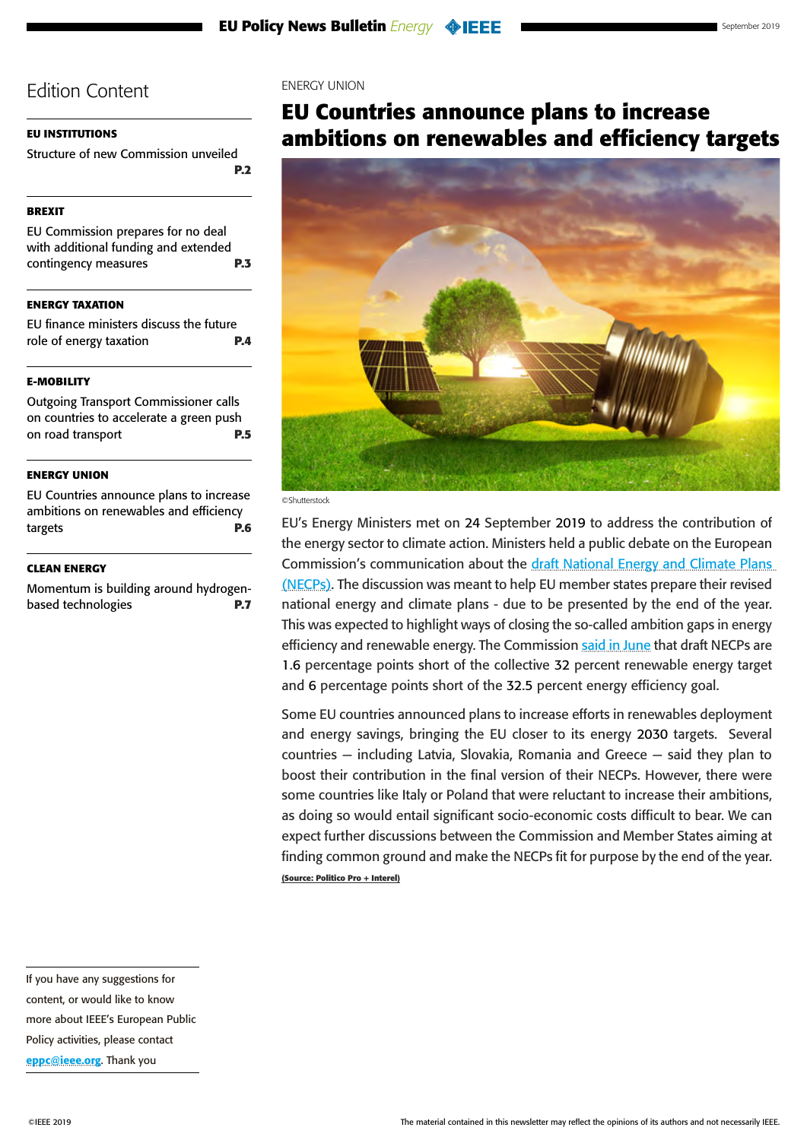### <span id="page-5-0"></span>**[EU INSTITUTIONS](#page-1-0)**

[Structure of new Commission unveiled](#page-1-0)  **[P.2](#page-1-0)**

### **[BREXIT](#page-2-0)**

[EU Commission prepares for no deal](#page-2-0)  [with additional funding and extended](#page-2-0)  [contingency measures](#page-2-0) **P.3**

### **[ENERGY TAXATION](#page-3-0)**

[EU finance ministers discuss the future](#page-3-0)  [role of energy taxation](#page-3-0) **P.4**

### **[E-MOBILITY](#page-4-0)**

[Outgoing Transport Commissioner calls](#page-4-0)  [on countries to accelerate a green push](#page-4-0)  [on road transport](#page-4-0) **P.5**

### **ENERGY UNION**

EU Countries announce plans to increase ambitions on renewables and efficiency targets **P.6**

#### **[CLEAN ENERGY](#page-6-0)**

[Momentum is building around hydrogen](#page-6-0)[based technologies](#page-6-0) **P.7** ENERGY UNION

# **EU Countries announce plans to increase ambitions on renewables and efficiency targets**





EU's Energy Ministers met on 24 September 2019 to address the contribution of the energy sector to climate action. Ministers held a public debate on the European Commission's communication about the draft National Energy and Climate Plans (NECPs). The discussion was meant to help EU member states prepare their revised national energy and climate plans - due to be presented by the end of the year. This was expected to highlight ways of closing the so-called ambition gaps in energy efficiency and renewable energy. The Commission [said in June](https://europa.eu/rapid/press-release_IP-19-2993_en.htm) that draft NECPs are 1.6 percentage points short of the collective 32 percent renewable energy target and 6 percentage points short of the 32.5 percent energy efficiency goal.

Some EU countries announced plans to increase efforts in renewables deployment and energy savings, bringing the EU closer to its energy 2030 targets. Several countries — including Latvia, Slovakia, Romania and Greece — said they plan to boost their contribution in the final version of their NECPs. However, there were some countries like Italy or Poland that were reluctant to increase their ambitions, as doing so would entail significant socio-economic costs difficult to bear. We can expect further discussions between the Commission and Member States aiming at finding common ground and make the NECPs fit for purpose by the end of the year. **(Source: Politico Pro + Interel)**

If you have any suggestions for content, or would like to know more about IEEE's European Public Policy activities, please contact [eppc@ieee.org](mailto:eppc%40ieee.org?subject=). Thank you